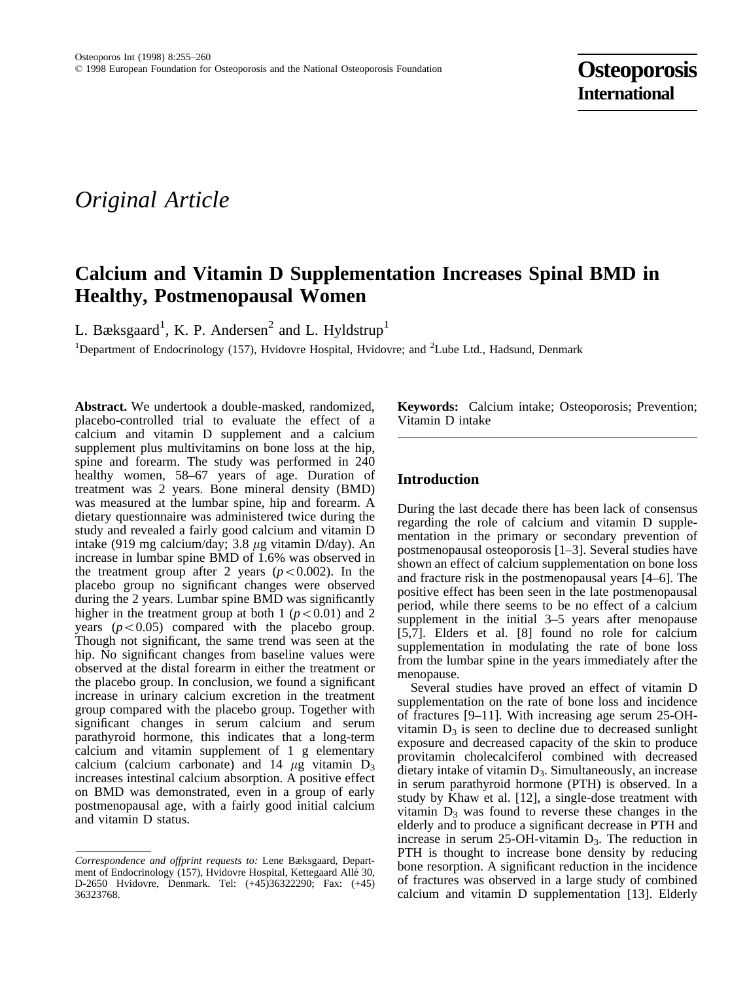# *Original Article*

# **Calcium and Vitamin D Supplementation Increases Spinal BMD in Healthy, Postmenopausal Women**

L. Bæksgaard<sup>1</sup>, K. P. Andersen<sup>2</sup> and L. Hyldstrup<sup>1</sup>

<sup>1</sup>Department of Endocrinology (157), Hvidovre Hospital, Hvidovre; and <sup>2</sup>Lube Ltd., Hadsund, Denmark

**Abstract.** We undertook a double-masked, randomized, placebo-controlled trial to evaluate the effect of a calcium and vitamin D supplement and a calcium supplement plus multivitamins on bone loss at the hip, spine and forearm. The study was performed in 240 healthy women, 58–67 years of age. Duration of treatment was 2 years. Bone mineral density (BMD) was measured at the lumbar spine, hip and forearm. A dietary questionnaire was administered twice during the study and revealed a fairly good calcium and vitamin D intake (919 mg calcium/day; 3.8  $\mu$ g vitamin D/day). An increase in lumbar spine BMD of 1.6% was observed in the treatment group after 2 years  $(p<0.002)$ . In the placebo group no significant changes were observed during the 2 years. Lumbar spine BMD was significantly higher in the treatment group at both 1 ( $p<0.01$ ) and 2 years  $(p<0.05)$  compared with the placebo group. Though not significant, the same trend was seen at the hip. No significant changes from baseline values were observed at the distal forearm in either the treatment or the placebo group. In conclusion, we found a significant increase in urinary calcium excretion in the treatment group compared with the placebo group. Together with significant changes in serum calcium and serum parathyroid hormone, this indicates that a long-term calcium and vitamin supplement of 1 g elementary calcium (calcium carbonate) and 14  $\mu$ g vitamin D<sub>3</sub> increases intestinal calcium absorption. A positive effect on BMD was demonstrated, even in a group of early postmenopausal age, with a fairly good initial calcium and vitamin D status.

**Keywords:** Calcium intake; Osteoporosis; Prevention; Vitamin D intake

# **Introduction**

During the last decade there has been lack of consensus regarding the role of calcium and vitamin D supplementation in the primary or secondary prevention of postmenopausal osteoporosis [1–3]. Several studies have shown an effect of calcium supplementation on bone loss and fracture risk in the postmenopausal years [4–6]. The positive effect has been seen in the late postmenopausal period, while there seems to be no effect of a calcium supplement in the initial 3–5 years after menopause [5,7]. Elders et al. [8] found no role for calcium supplementation in modulating the rate of bone loss from the lumbar spine in the years immediately after the menopause.

Several studies have proved an effect of vitamin D supplementation on the rate of bone loss and incidence of fractures [9–11]. With increasing age serum 25-OHvitamin  $D_3$  is seen to decline due to decreased sunlight exposure and decreased capacity of the skin to produce provitamin cholecalciferol combined with decreased  $\frac{d}{dt}$  dietary intake of vitamin  $D_3$ . Simultaneously, an increase in serum parathyroid hormone (PTH) is observed. In a study by Khaw et al. [12], a single-dose treatment with vitamin  $D_3$  was found to reverse these changes in the elderly and to produce a significant decrease in PTH and increase in serum 25-OH-vitamin  $D_3$ . The reduction in PTH is thought to increase bone density by reducing bone resorption. A significant reduction in the incidence of fractures was observed in a large study of combined calcium and vitamin D supplementation [13]. Elderly

*Correspondence and offprint requests to:* Lene Bæksgaard, Department of Endocrinology (157), Hvidovre Hospital, Kettegaard Allé 30, D-2650 Hvidovre, Denmark. Tel: (+45)36322290; Fax: (+45) 36323768.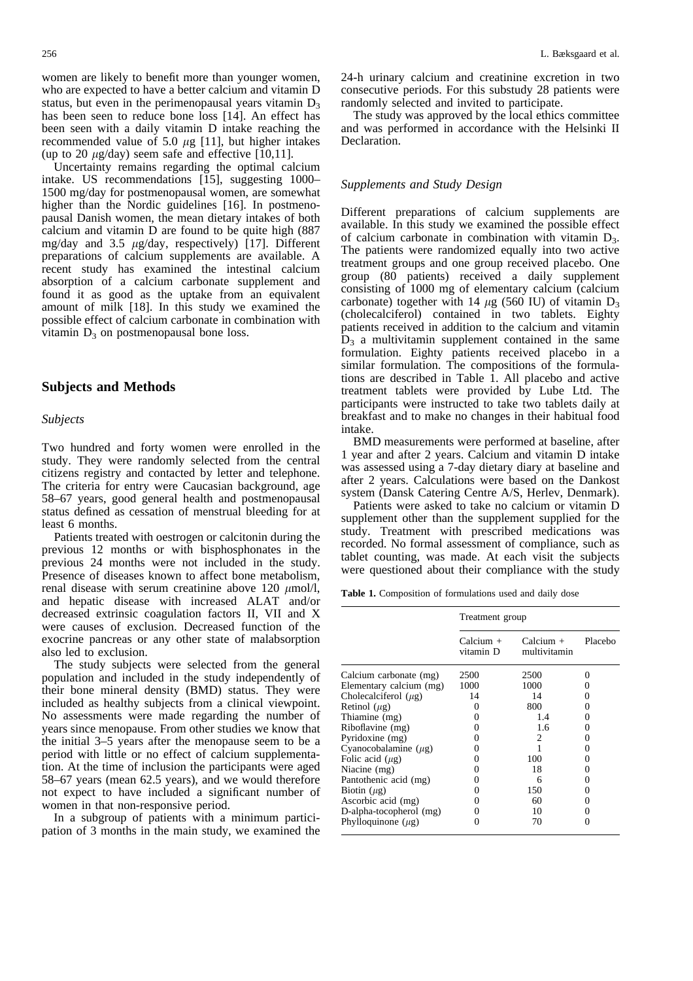women are likely to benefit more than younger women, who are expected to have a better calcium and vitamin D status, but even in the perimenopausal years vitamin  $D_3$ has been seen to reduce bone loss [14]. An effect has been seen with a daily vitamin D intake reaching the recommended value of 5.0  $\mu$ g [11], but higher intakes (up to 20  $\mu$ g/day) seem safe and effective [10,11].

Uncertainty remains regarding the optimal calcium intake. US recommendations [15], suggesting 1000– 1500 mg/day for postmenopausal women, are somewhat higher than the Nordic guidelines [16]. In postmenopausal Danish women, the mean dietary intakes of both calcium and vitamin D are found to be quite high (887 mg/day and 3.5  $\mu$ g/day, respectively) [17]. Different preparations of calcium supplements are available. A recent study has examined the intestinal calcium absorption of a calcium carbonate supplement and found it as good as the uptake from an equivalent amount of milk [18]. In this study we examined the possible effect of calcium carbonate in combination with vitamin  $D_3$  on postmenopausal bone loss.

# **Subjects and Methods**

#### *Subjects*

Two hundred and forty women were enrolled in the study. They were randomly selected from the central citizens registry and contacted by letter and telephone. The criteria for entry were Caucasian background, age 58–67 years, good general health and postmenopausal status defined as cessation of menstrual bleeding for at least 6 months.

Patients treated with oestrogen or calcitonin during the previous 12 months or with bisphosphonates in the previous 24 months were not included in the study. Presence of diseases known to affect bone metabolism, renal disease with serum creatinine above 120  $\mu$ mol/l, and hepatic disease with increased ALAT and/or decreased extrinsic coagulation factors II, VII and X were causes of exclusion. Decreased function of the exocrine pancreas or any other state of malabsorption also led to exclusion.

The study subjects were selected from the general population and included in the study independently of their bone mineral density (BMD) status. They were included as healthy subjects from a clinical viewpoint. No assessments were made regarding the number of years since menopause. From other studies we know that the initial 3–5 years after the menopause seem to be a period with little or no effect of calcium supplementation. At the time of inclusion the participants were aged 58–67 years (mean 62.5 years), and we would therefore not expect to have included a significant number of women in that non-responsive period.

In a subgroup of patients with a minimum participation of 3 months in the main study, we examined the 24-h urinary calcium and creatinine excretion in two consecutive periods. For this substudy 28 patients were randomly selected and invited to participate.

The study was approved by the local ethics committee and was performed in accordance with the Helsinki II Declaration.

#### *Supplements and Study Design*

Different preparations of calcium supplements are available. In this study we examined the possible effect of calcium carbonate in combination with vitamin  $D_3$ . The patients were randomized equally into two active treatment groups and one group received placebo. One group (80 patients) received a daily supplement consisting of 1000 mg of elementary calcium (calcium carbonate) together with 14  $\mu$ g (560 IU) of vitamin D<sub>3</sub> (cholecalciferol) contained in two tablets. Eighty patients received in addition to the calcium and vitamin  $\bar{D}_3$  a multivitamin supplement contained in the same formulation. Eighty patients received placebo in a similar formulation. The compositions of the formulations are described in Table 1. All placebo and active treatment tablets were provided by Lube Ltd. The participants were instructed to take two tablets daily at breakfast and to make no changes in their habitual food intake.

BMD measurements were performed at baseline, after 1 year and after 2 years. Calcium and vitamin D intake was assessed using a 7-day dietary diary at baseline and after 2 years. Calculations were based on the Dankost system (Dansk Catering Centre A/S, Herlev, Denmark).

Patients were asked to take no calcium or vitamin D supplement other than the supplement supplied for the study. Treatment with prescribed medications was recorded. No formal assessment of compliance, such as tablet counting, was made. At each visit the subjects were questioned about their compliance with the study

**Table 1.** Composition of formulations used and daily dose

|                           | Treatment group        |                             |         |  |
|---------------------------|------------------------|-----------------------------|---------|--|
|                           | Calcium +<br>vitamin D | $Calcium +$<br>multivitamin | Placebo |  |
| Calcium carbonate (mg)    | 2500                   | 2500                        | 0       |  |
| Elementary calcium (mg)   | 1000                   | 1000                        |         |  |
| Cholecalciferol $(\mu$ g) | 14                     | 14                          |         |  |
| Retinol $(\mu g)$         | 0                      | 800                         |         |  |
| Thiamine (mg)             | 0                      | 1.4                         |         |  |
| Riboflavine (mg)          |                        | 1.6                         |         |  |
| Pyridoxine (mg)           |                        | $\mathcal{D}_{\mathcal{L}}$ |         |  |
| Cyanocobalamine $(\mu$ g) |                        |                             |         |  |
| Folic acid $(\mu g)$      |                        | 100                         |         |  |
| Niacine (mg)              |                        | 18                          |         |  |
| Pantothenic acid (mg)     |                        | 6                           |         |  |
| Biotin $(\mu g)$          |                        | 150                         | 0       |  |
| Ascorbic acid (mg)        |                        | 60                          |         |  |
| D-alpha-tocopherol (mg)   |                        | 10                          |         |  |
| Phylloquinone $(\mu$ g)   |                        | 70                          |         |  |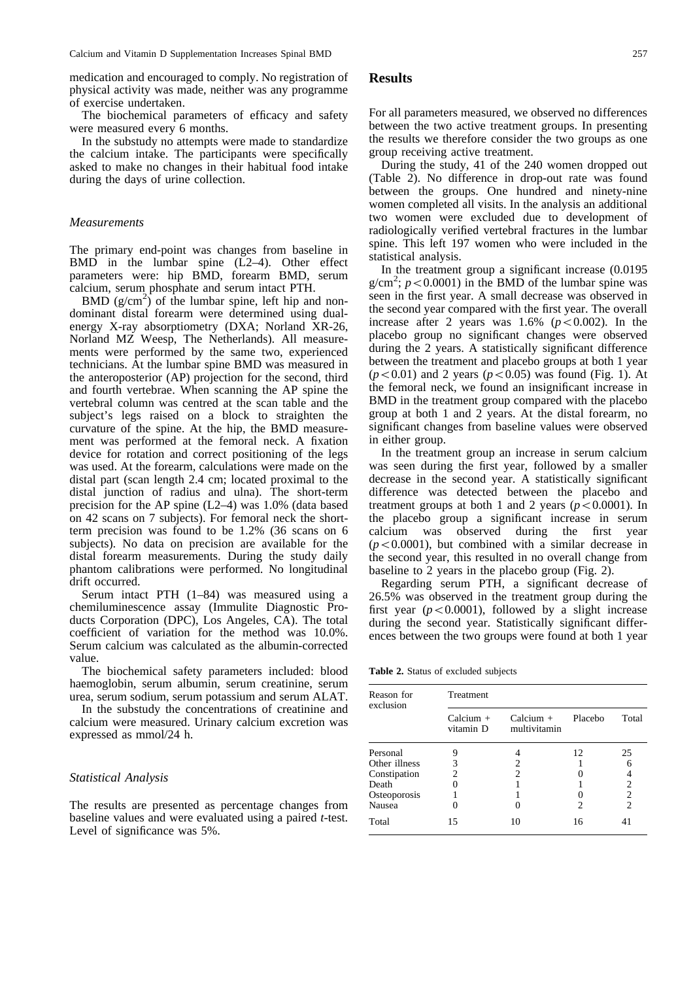medication and encouraged to comply. No registration of physical activity was made, neither was any programme of exercise undertaken.

The biochemical parameters of efficacy and safety were measured every 6 months.

In the substudy no attempts were made to standardize the calcium intake. The participants were specifically asked to make no changes in their habitual food intake during the days of urine collection.

#### *Measurements*

The primary end-point was changes from baseline in BMD in the lumbar spine (L2–4). Other effect parameters were: hip BMD, forearm BMD, serum calcium, serum phosphate and serum intact PTH.

 $BMD (g/cm<sup>2</sup>)$  of the lumbar spine, left hip and nondominant distal forearm were determined using dualenergy X-ray absorptiometry (DXA; Norland XR-26, Norland MZ Weesp, The Netherlands). All measurements were performed by the same two, experienced technicians. At the lumbar spine BMD was measured in the anteroposterior (AP) projection for the second, third and fourth vertebrae. When scanning the AP spine the vertebral column was centred at the scan table and the subject's legs raised on a block to straighten the curvature of the spine. At the hip, the BMD measurement was performed at the femoral neck. A fixation device for rotation and correct positioning of the legs was used. At the forearm, calculations were made on the distal part (scan length 2.4 cm; located proximal to the distal junction of radius and ulna). The short-term precision for the AP spine  $(L2-4)$  was 1.0% (data based on 42 scans on 7 subjects). For femoral neck the shortterm precision was found to be 1.2% (36 scans on 6 subjects). No data on precision are available for the distal forearm measurements. During the study daily phantom calibrations were performed. No longitudinal drift occurred.

Serum intact PTH (1–84) was measured using a chemiluminescence assay (Immulite Diagnostic Products Corporation (DPC), Los Angeles, CA). The total coefficient of variation for the method was 10.0%. Serum calcium was calculated as the albumin-corrected value.

The biochemical safety parameters included: blood haemoglobin, serum albumin, serum creatinine, serum urea, serum sodium, serum potassium and serum ALAT.

In the substudy the concentrations of creatinine and calcium were measured. Urinary calcium excretion was expressed as mmol/24 h.

#### *Statistical Analysis*

The results are presented as percentage changes from baseline values and were evaluated using a paired *t*-test. Level of significance was 5%.

#### **Results**

For all parameters measured, we observed no differences between the two active treatment groups. In presenting the results we therefore consider the two groups as one group receiving active treatment.

During the study, 41 of the 240 women dropped out (Table 2). No difference in drop-out rate was found between the groups. One hundred and ninety-nine women completed all visits. In the analysis an additional two women were excluded due to development of radiologically verified vertebral fractures in the lumbar spine. This left 197 women who were included in the statistical analysis.

In the treatment group a significant increase (0.0195  $g/cm^2$ ;  $p < 0.0001$ ) in the BMD of the lumbar spine was seen in the first year. A small decrease was observed in the second year compared with the first year. The overall increase after 2 years was  $1.6\%$  ( $p<0.002$ ). In the placebo group no significant changes were observed during the 2 years. A statistically significant difference between the treatment and placebo groups at both 1 year  $(p<0.01)$  and 2 years  $(p<0.05)$  was found (Fig. 1). At the femoral neck, we found an insignificant increase in BMD in the treatment group compared with the placebo group at both 1 and 2 years. At the distal forearm, no significant changes from baseline values were observed in either group.

In the treatment group an increase in serum calcium was seen during the first year, followed by a smaller decrease in the second year. A statistically significant difference was detected between the placebo and treatment groups at both 1 and 2 years  $(p<0.0001)$ . In the placebo group a significant increase in serum calcium was observed during the first year  $(p<0.0001)$ , but combined with a similar decrease in the second year, this resulted in no overall change from baseline to 2 years in the placebo group (Fig. 2).

Regarding serum PTH, a significant decrease of 26.5% was observed in the treatment group during the first year  $(p<0.0001)$ , followed by a slight increase during the second year. Statistically significant differences between the two groups were found at both 1 year

**Table 2.** Status of excluded subjects

| Reason for<br>exclusion | Treatment                |                             |         |                |  |
|-------------------------|--------------------------|-----------------------------|---------|----------------|--|
|                         | Calcium $+$<br>vitamin D | Calcium $+$<br>multivitamin | Placebo | Total          |  |
| Personal                | 9                        |                             | 12      | 25             |  |
| Other illness           | 3                        | 2                           |         |                |  |
| Constipation            | 2                        | 2                           |         | 4              |  |
| Death                   |                          |                             |         | 2              |  |
| Osteoporosis            |                          |                             |         | $\overline{2}$ |  |
| Nausea                  |                          |                             | 2       | $\overline{2}$ |  |
| Total                   | 15                       | 10                          | 16      | 4 I            |  |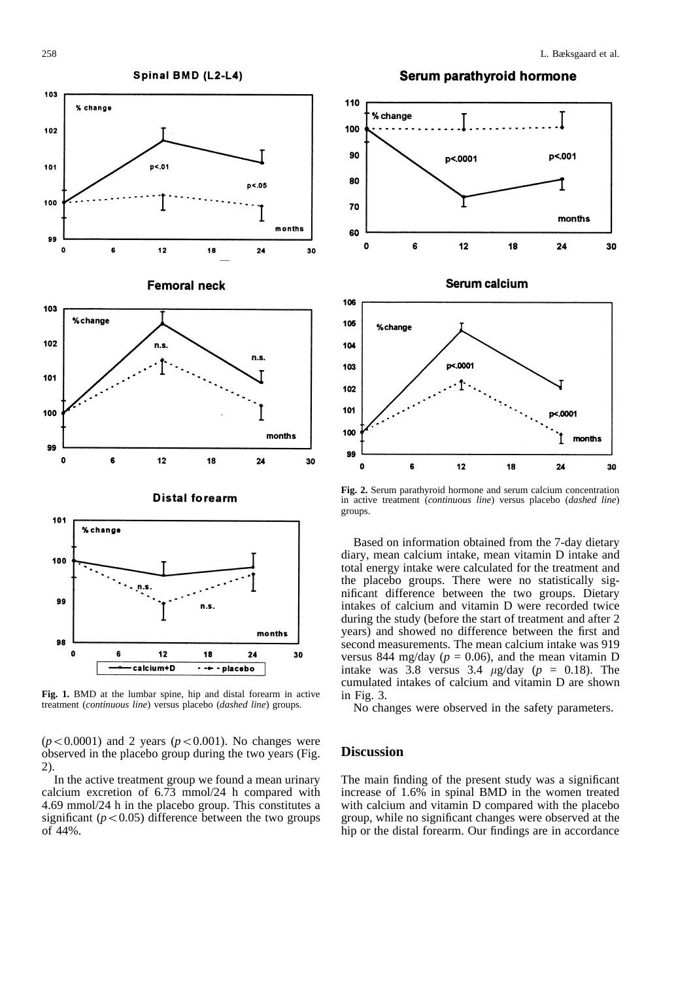

**Fig. 1.** BMD at the lumbar spine, hip and distal forearm in active treatment (*continuous line*) versus placebo (*dashed line*) groups.

 $\cdot$  + - placebo

calcium+D

 $(p<0.0001)$  and 2 years  $(p<0.001)$ . No changes were observed in the placebo group during the two years (Fig. 2).

In the active treatment group we found a mean urinary calcium excretion of 6.73 mmol/24 h compared with 4.69 mmol/24 h in the placebo group. This constitutes a significant  $(p<0.05)$  difference between the two groups of 44%.



**Fig. 2.** Serum parathyroid hormone and serum calcium concentration in active treatment (*continuous line*) versus placebo (*dashed line*) groups.

Based on information obtained from the 7-day dietary diary, mean calcium intake, mean vitamin D intake and total energy intake were calculated for the treatment and the placebo groups. There were no statistically significant difference between the two groups. Dietary intakes of calcium and vitamin D were recorded twice during the study (before the start of treatment and after 2 years) and showed no difference between the first and second measurements. The mean calcium intake was 919 versus 844 mg/day ( $p = 0.06$ ), and the mean vitamin D intake was 3.8 versus 3.4  $\mu$ g/day ( $p = 0.18$ ). The cumulated intakes of calcium and vitamin D are shown in Fig. 3.

No changes were observed in the safety parameters.

#### **Discussion**

The main finding of the present study was a significant increase of 1.6% in spinal BMD in the women treated with calcium and vitamin D compared with the placebo group, while no significant changes were observed at the hip or the distal forearm. Our findings are in accordance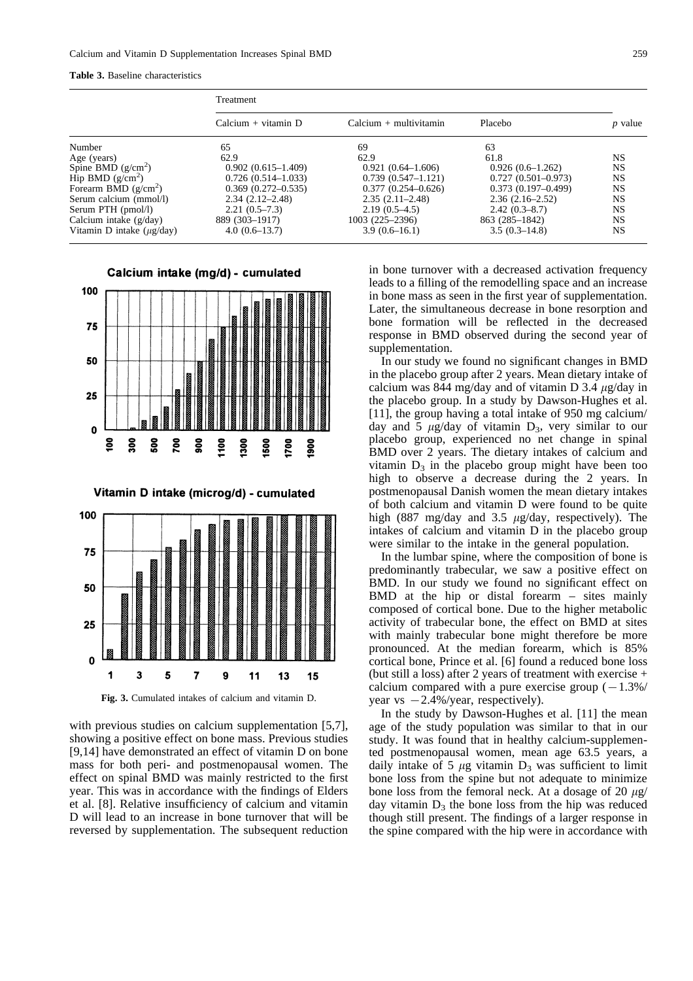#### **Table 3.** Baseline characteristics

|                                  | Treatment              |                          |                        |                |
|----------------------------------|------------------------|--------------------------|------------------------|----------------|
|                                  | $Calcium + vitamin D$  | $Calcium + multivitamin$ | Placebo                | <i>p</i> value |
| Number                           | 65                     | 69                       | 63                     |                |
| Age (years)                      | 62.9                   | 62.9                     | 61.8                   | NS             |
| Spine BMD $(g/cm2)$              | $0.902(0.615-1.409)$   | $0.921(0.64-1.606)$      | $0.926(0.6-1.262)$     | <b>NS</b>      |
| Hip BMD $(g/cm2)$                | $0.726(0.514 - 1.033)$ | $0.739(0.547 - 1.121)$   | $0.727(0.501 - 0.973)$ | NS             |
| Forearm BMD $(g/cm^2)$           | $0.369(0.272 - 0.535)$ | $0.377(0.254 - 0.626)$   | $0.373(0.197-0.499)$   | NS             |
| Serum calcium (mmol/l)           | $2.34(2.12 - 2.48)$    | $2.35(2.11 - 2.48)$      | $2.36(2.16-2.52)$      | NS             |
| Serum PTH (pmol/l)               | $2.21(0.5-7.3)$        | $2.19(0.5-4.5)$          | $2.42(0.3-8.7)$        | NS.            |
| Calcium intake $(g/day)$         | 889 (303–1917)         | 1003 (225–2396)          | 863 (285-1842)         | NS.            |
| Vitamin D intake $(\mu g / day)$ | $4.0(0.6-13.7)$        | $3.9(0.6-16.1)$          | $3.5(0.3-14.8)$        | NS             |



Vitamin D intake (microg/d) - cumulated



**Fig. 3.** Cumulated intakes of calcium and vitamin D.

with previous studies on calcium supplementation [5,7]. showing a positive effect on bone mass. Previous studies [9,14] have demonstrated an effect of vitamin D on bone mass for both peri- and postmenopausal women. The effect on spinal BMD was mainly restricted to the first year. This was in accordance with the findings of Elders et al. [8]. Relative insufficiency of calcium and vitamin D will lead to an increase in bone turnover that will be reversed by supplementation. The subsequent reduction

in bone turnover with a decreased activation frequency leads to a filling of the remodelling space and an increase in bone mass as seen in the first year of supplementation. Later, the simultaneous decrease in bone resorption and bone formation will be reflected in the decreased response in BMD observed during the second year of supplementation.

In our study we found no significant changes in BMD in the placebo group after 2 years. Mean dietary intake of calcium was 844 mg/day and of vitamin D 3.4  $\mu$ g/day in the placebo group. In a study by Dawson-Hughes et al. [11], the group having a total intake of 950 mg calcium/ day and  $\overline{5}$   $\mu$ g/day of vitamin D<sub>3</sub>, very similar to our placebo group, experienced no net change in spinal BMD over 2 years. The dietary intakes of calcium and vitamin  $D_3$  in the placebo group might have been too high to observe a decrease during the 2 years. In postmenopausal Danish women the mean dietary intakes of both calcium and vitamin D were found to be quite high (887 mg/day and 3.5  $\mu$ g/day, respectively). The intakes of calcium and vitamin D in the placebo group were similar to the intake in the general population.

In the lumbar spine, where the composition of bone is predominantly trabecular, we saw a positive effect on BMD. In our study we found no significant effect on BMD at the hip or distal forearm – sites mainly composed of cortical bone. Due to the higher metabolic activity of trabecular bone, the effect on BMD at sites with mainly trabecular bone might therefore be more pronounced. At the median forearm, which is 85% cortical bone, Prince et al. [6] found a reduced bone loss (but still a loss) after 2 years of treatment with exercise + calcium compared with a pure exercise group  $(-1.3\%)$ year vs  $-2.4\%$ /year, respectively).

In the study by Dawson-Hughes et al. [11] the mean age of the study population was similar to that in our study. It was found that in healthy calcium-supplemented postmenopausal women, mean age 63.5 years, a daily intake of 5  $\mu$ g vitamin D<sub>3</sub> was sufficient to limit bone loss from the spine but not adequate to minimize bone loss from the femoral neck. At a dosage of 20  $\mu$ g/ day vitamin  $D_3$  the bone loss from the hip was reduced though still present. The findings of a larger response in the spine compared with the hip were in accordance with